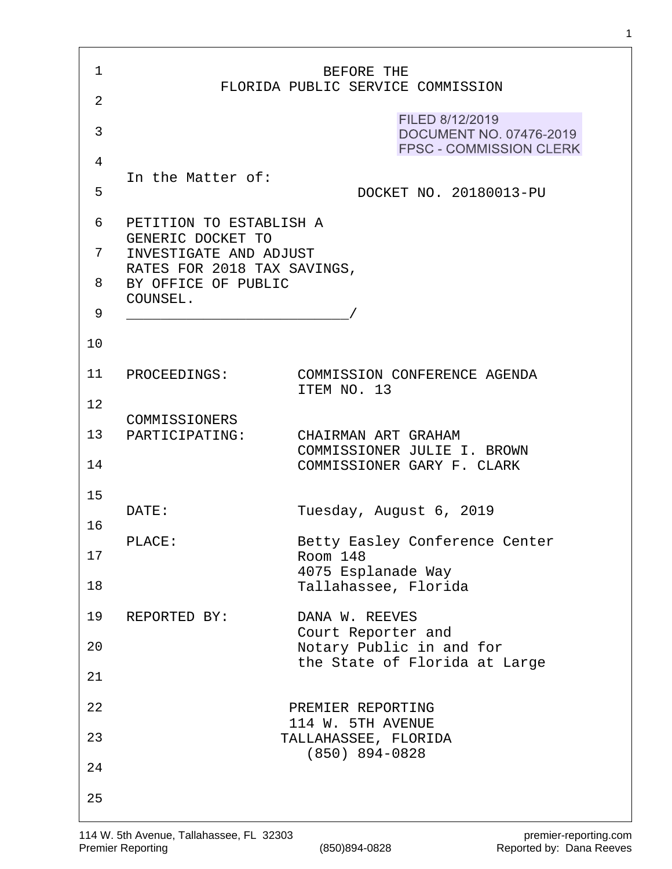| 1  |                                                    | BEFORE THE                                                                   |
|----|----------------------------------------------------|------------------------------------------------------------------------------|
| 2  |                                                    | FLORIDA PUBLIC SERVICE COMMISSION                                            |
| 3  |                                                    | FILED 8/12/2019<br>DOCUMENT NO. 07476-2019<br><b>FPSC - COMMISSION CLERK</b> |
| 4  |                                                    |                                                                              |
| 5  | In the Matter of:                                  | DOCKET NO. 20180013-PU                                                       |
| 6  | PETITION TO ESTABLISH A                            |                                                                              |
| 7  | GENERIC DOCKET TO<br>INVESTIGATE AND ADJUST        |                                                                              |
| 8  | RATES FOR 2018 TAX SAVINGS,<br>BY OFFICE OF PUBLIC |                                                                              |
| 9  | COUNSEL.                                           |                                                                              |
| 10 |                                                    |                                                                              |
| 11 | PROCEEDINGS:                                       | COMMISSION CONFERENCE AGENDA                                                 |
| 12 |                                                    | ITEM NO. 13                                                                  |
| 13 | COMMISSIONERS<br>PARTICIPATING:                    | CHAIRMAN ART GRAHAM                                                          |
| 14 |                                                    | COMMISSIONER JULIE I. BROWN<br>COMMISSIONER GARY F. CLARK                    |
| 15 |                                                    |                                                                              |
| 16 | DATE:                                              | Tuesday, August 6, 2019                                                      |
| 17 | PLACE:                                             | Betty Easley Conference Center<br>Room 148                                   |
| 18 |                                                    | 4075 Esplanade Way<br>Tallahassee, Florida                                   |
| 19 | REPORTED BY:                                       | DANA W. REEVES                                                               |
| 20 |                                                    | Court Reporter and<br>Notary Public in and for                               |
| 21 |                                                    | the State of Florida at Large                                                |
| 22 |                                                    | PREMIER REPORTING                                                            |
| 23 |                                                    | 114 W. 5TH AVENUE<br>TALLAHASSEE, FLORIDA                                    |
| 24 |                                                    | $(850)$ 894-0828                                                             |
| 25 |                                                    |                                                                              |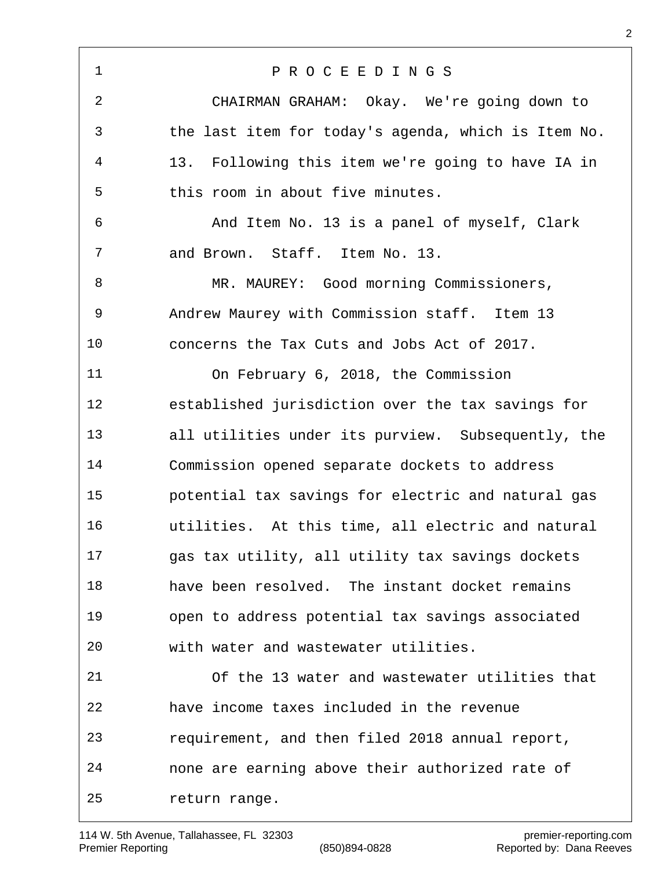P R O C E E D I N G S CHAIRMAN GRAHAM: Okay. We're going down to the last item for today's agenda, which is Item No. 13. Following this item we're going to have IA in this room in about five minutes. And Item No. 13 is a panel of myself, Clark and Brown. Staff. Item No. 13. 8 MR. MAUREY: Good morning Commissioners, Andrew Maurey with Commission staff. Item 13 concerns the Tax Cuts and Jobs Act of 2017. On February 6, 2018, the Commission established jurisdiction over the tax savings for all utilities under its purview. Subsequently, the Commission opened separate dockets to address potential tax savings for electric and natural gas utilities. At this time, all electric and natural gas tax utility, all utility tax savings dockets have been resolved. The instant docket remains open to address potential tax savings associated with water and wastewater utilities. Of the 13 water and wastewater utilities that have income taxes included in the revenue requirement, and then filed 2018 annual report, none are earning above their authorized rate of return range.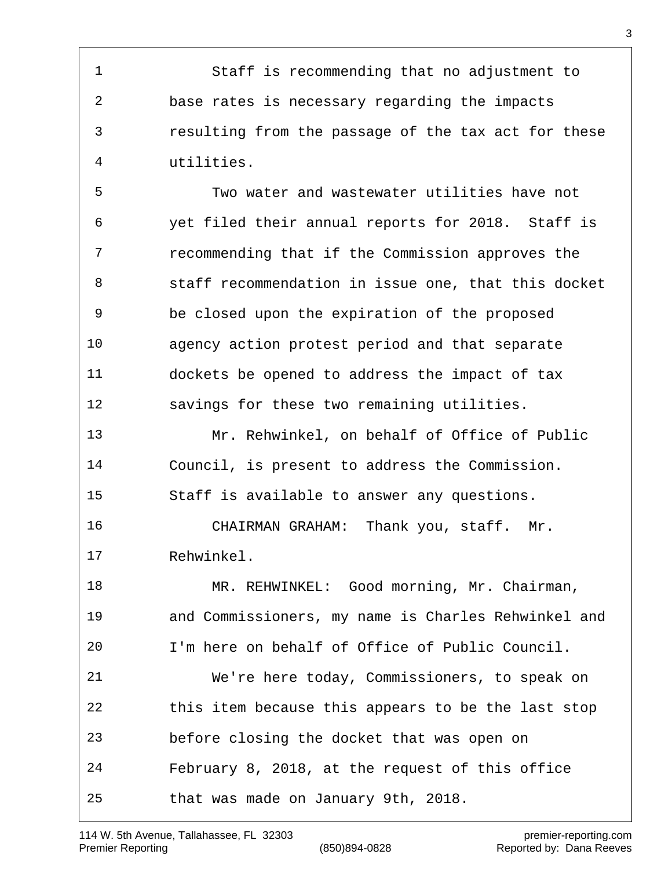Staff is recommending that no adjustment to base rates is necessary regarding the impacts resulting from the passage of the tax act for these utilities.

 Two water and wastewater utilities have not yet filed their annual reports for 2018. Staff is recommending that if the Commission approves the staff recommendation in issue one, that this docket be closed upon the expiration of the proposed agency action protest period and that separate dockets be opened to address the impact of tax savings for these two remaining utilities.

 Mr. Rehwinkel, on behalf of Office of Public Council, is present to address the Commission. Staff is available to answer any questions.

 CHAIRMAN GRAHAM: Thank you, staff. Mr. Rehwinkel.

 MR. REHWINKEL: Good morning, Mr. Chairman, and Commissioners, my name is Charles Rehwinkel and I'm here on behalf of Office of Public Council. We're here today, Commissioners, to speak on this item because this appears to be the last stop before closing the docket that was open on February 8, 2018, at the request of this office that was made on January 9th, 2018.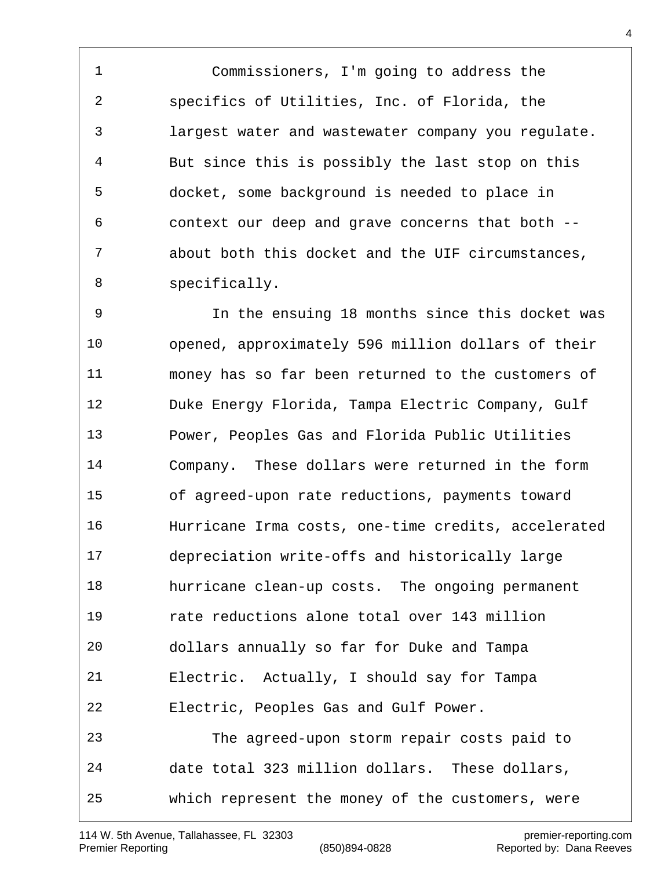Commissioners, I'm going to address the specifics of Utilities, Inc. of Florida, the largest water and wastewater company you regulate. But since this is possibly the last stop on this docket, some background is needed to place in context our deep and grave concerns that both -- about both this docket and the UIF circumstances, specifically.

 In the ensuing 18 months since this docket was opened, approximately 596 million dollars of their money has so far been returned to the customers of Duke Energy Florida, Tampa Electric Company, Gulf Power, Peoples Gas and Florida Public Utilities Company. These dollars were returned in the form of agreed-upon rate reductions, payments toward Hurricane Irma costs, one-time credits, accelerated depreciation write-offs and historically large hurricane clean-up costs. The ongoing permanent rate reductions alone total over 143 million dollars annually so far for Duke and Tampa Electric. Actually, I should say for Tampa Electric, Peoples Gas and Gulf Power. The agreed-upon storm repair costs paid to date total 323 million dollars. These dollars, which represent the money of the customers, were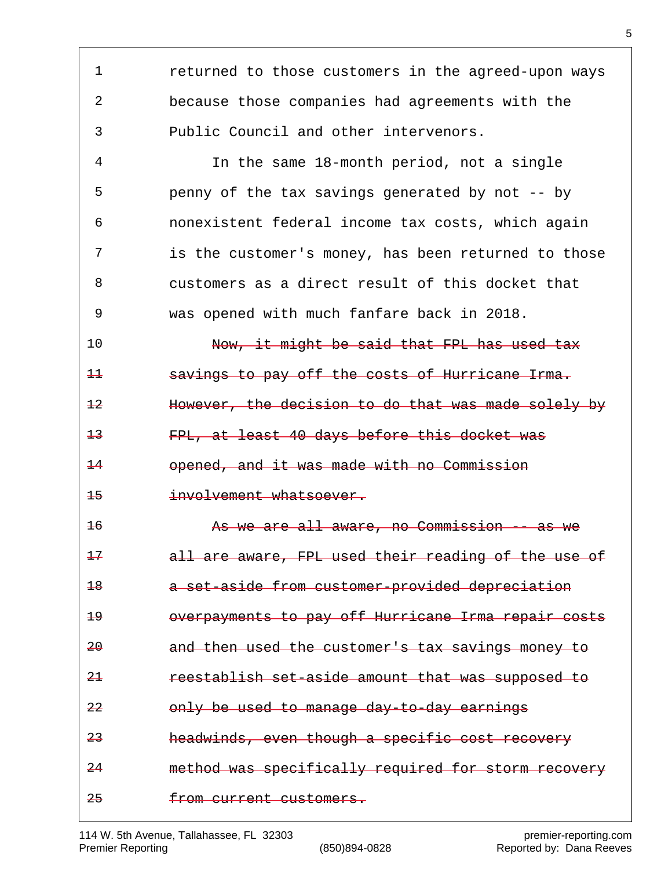returned to those customers in the agreed-upon ways because those companies had agreements with the Public Council and other intervenors. In the same 18-month period, not a single penny of the tax savings generated by not -- by nonexistent federal income tax costs, which again is the customer's money, has been returned to those customers as a direct result of this docket that was opened with much fanfare back in 2018. 10 Now, it might be said that FPL has used tax savings to pay off the costs of Hurricane Irma. However, the decision to do that was made solely by FPL, at least 40 days before this docket was opened, and it was made with no Commission involvement whatsoever. As we are all aware, no Commission -- as we all are aware, FPL used their reading of the use of a set-aside from customer-provided depreciation overpayments to pay off Hurricane Irma repair costs and then used the customer's tax savings money to reestablish set-aside amount that was supposed to only be used to manage day-to-day earnings headwinds, even though a specific cost recovery method was specifically required for storm recovery from current customers.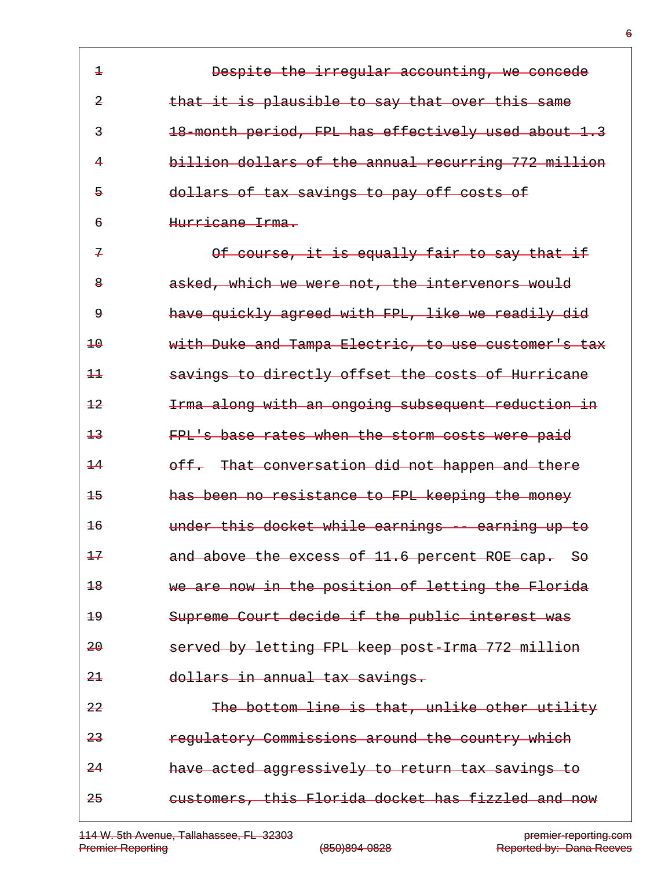| $\overline{+}$          | Despite the irregular accounting, we concede        |
|-------------------------|-----------------------------------------------------|
| $\overline{a}$          | that it is plausible to say that over this same     |
| $\overline{\mathbf{3}}$ | 18-month period, FPL has effectively used about 1.3 |
| 4                       | billion dollars of the annual recurring 772 million |
| $\overline{5}$          | dollars of tax savings to pay off costs of          |
| $\epsilon$              | Hurricane Irma.                                     |
| $\overline{r}$          | Of course, it is equally fair to say that if        |
| $\mathbf{8}$            | asked, which we were not, the intervenors would     |
| ۅ                       | have quickly agreed with FPL, like we readily did   |
| $\pm \theta$            | with Duke and Tampa Electric, to use customer's tax |
| $++$                    | savings to directly offset the costs of Hurricane   |
| $+2$                    | Irma along with an ongoing subsequent reduction in  |
| $\pm$ 3                 | FPL's base rates when the storm costs were paid     |
| $\pm 4$                 | off. That conversation did not happen and there     |
| $+5$                    | has been no resistance to FPL keeping the money     |
| $\pm 6$                 | under this docket while earnings -- earning up to   |
| $+7$                    | and above the excess of 11.6 percent ROE cap. So    |
| $\pm 8$                 | we are now in the position of letting the Florida   |
| هڍ                      | Supreme Court decide if the public interest was     |
| 20                      | served by letting FPL keep post-Irma 772 million    |
| 2 <sup>1</sup>          | dollars in annual tax savings.                      |
| 22                      | The bottom line is that, unlike other utility       |
| 23                      | regulatory Commissions around the country which     |
| $-24$                   | have acted aggressively to return tax savings to    |
| 25                      | eustomers, this Florida docket has fizzled and now  |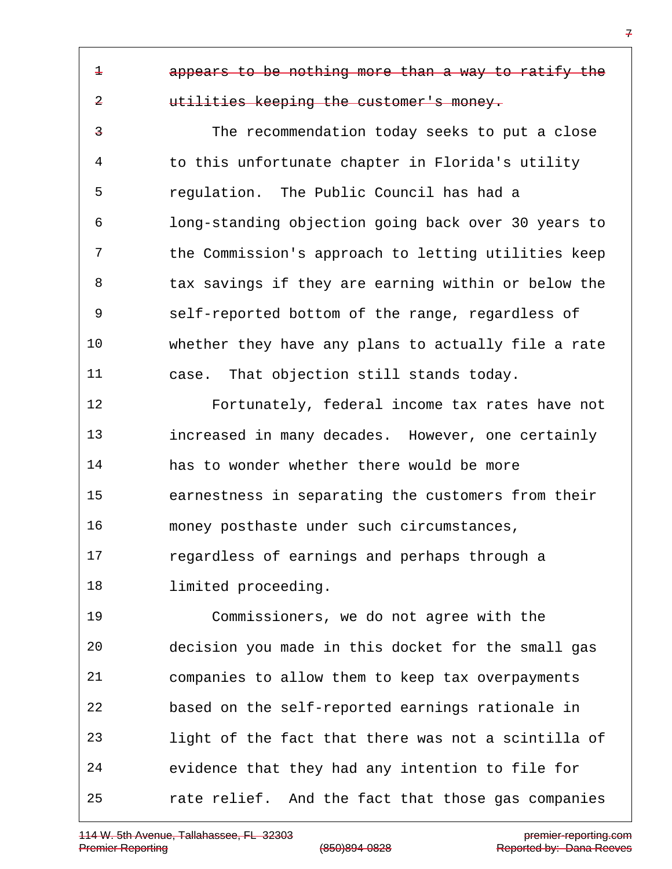appears to be nothing more than a way to ratify the

## utilities keeping the customer's money.

 The recommendation today seeks to put a close to this unfortunate chapter in Florida's utility regulation. The Public Council has had a long-standing objection going back over 30 years to the Commission's approach to letting utilities keep 8 tax savings if they are earning within or below the self-reported bottom of the range, regardless of whether they have any plans to actually file a rate case. That objection still stands today.

 Fortunately, federal income tax rates have not increased in many decades. However, one certainly has to wonder whether there would be more earnestness in separating the customers from their money posthaste under such circumstances, regardless of earnings and perhaps through a limited proceeding.

 Commissioners, we do not agree with the decision you made in this docket for the small gas companies to allow them to keep tax overpayments based on the self-reported earnings rationale in light of the fact that there was not a scintilla of evidence that they had any intention to file for rate relief. And the fact that those gas companies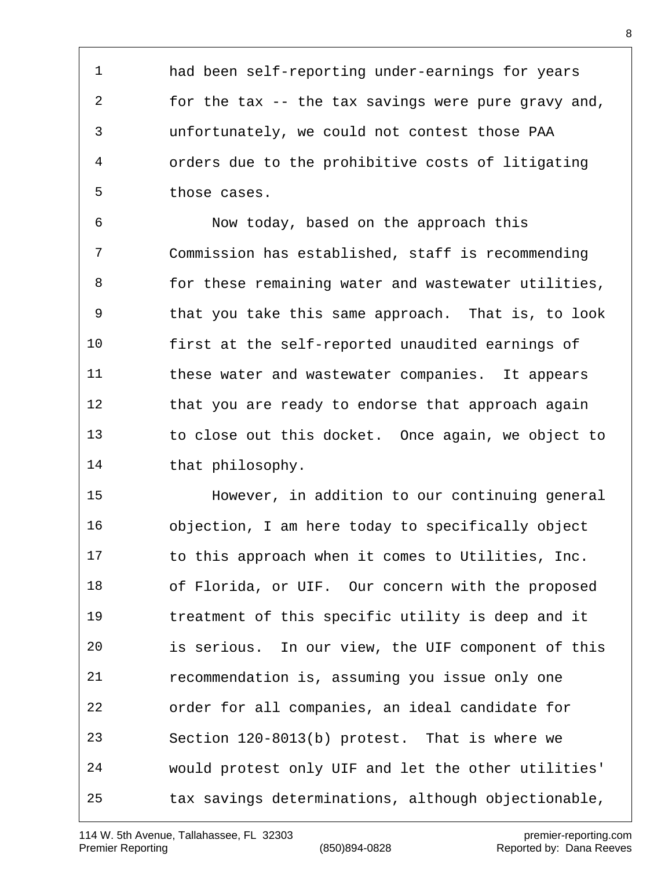had been self-reporting under-earnings for years for the tax -- the tax savings were pure gravy and, unfortunately, we could not contest those PAA orders due to the prohibitive costs of litigating those cases.

 Now today, based on the approach this Commission has established, staff is recommending 8 for these remaining water and wastewater utilities, that you take this same approach. That is, to look first at the self-reported unaudited earnings of these water and wastewater companies. It appears 12 that you are ready to endorse that approach again to close out this docket. Once again, we object to that philosophy.

 However, in addition to our continuing general objection, I am here today to specifically object to this approach when it comes to Utilities, Inc. of Florida, or UIF. Our concern with the proposed treatment of this specific utility is deep and it is serious. In our view, the UIF component of this recommendation is, assuming you issue only one order for all companies, an ideal candidate for Section 120-8013(b) protest. That is where we would protest only UIF and let the other utilities' tax savings determinations, although objectionable,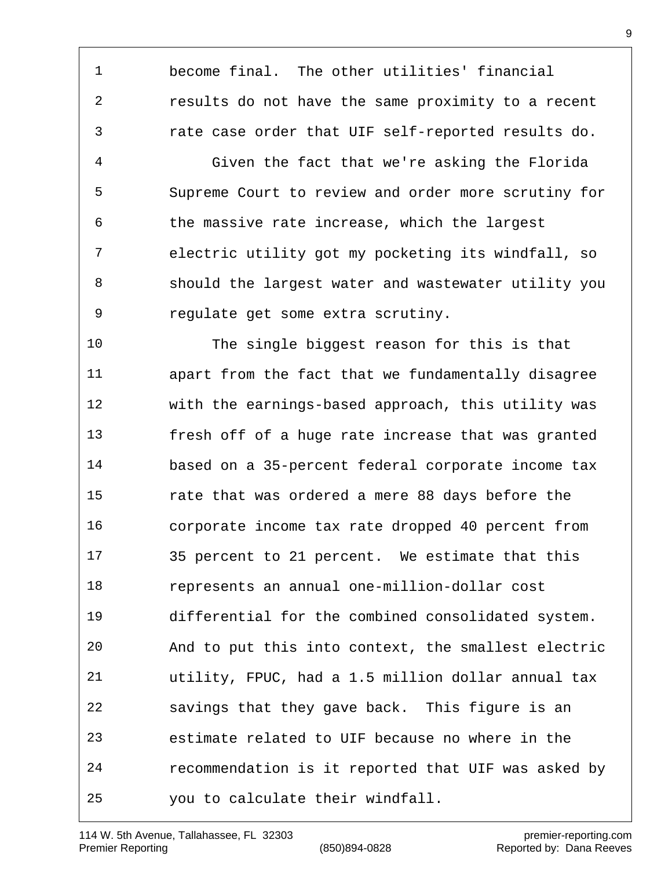become final. The other utilities' financial results do not have the same proximity to a recent rate case order that UIF self-reported results do.

 Given the fact that we're asking the Florida Supreme Court to review and order more scrutiny for the massive rate increase, which the largest electric utility got my pocketing its windfall, so should the largest water and wastewater utility you regulate get some extra scrutiny.

 The single biggest reason for this is that apart from the fact that we fundamentally disagree with the earnings-based approach, this utility was fresh off of a huge rate increase that was granted based on a 35-percent federal corporate income tax rate that was ordered a mere 88 days before the corporate income tax rate dropped 40 percent from 35 percent to 21 percent. We estimate that this represents an annual one-million-dollar cost differential for the combined consolidated system. And to put this into context, the smallest electric utility, FPUC, had a 1.5 million dollar annual tax savings that they gave back. This figure is an estimate related to UIF because no where in the recommendation is it reported that UIF was asked by you to calculate their windfall.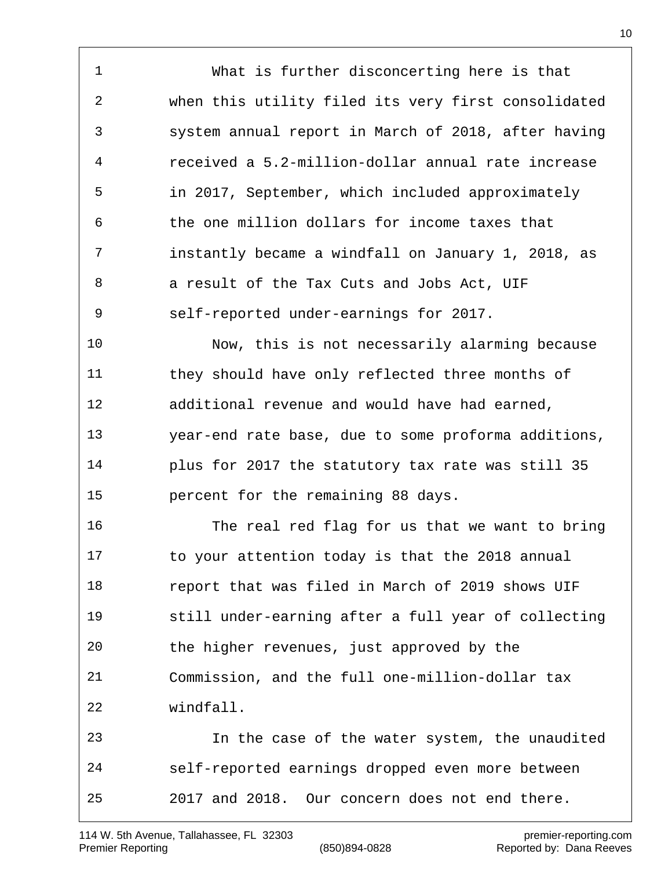What is further disconcerting here is that when this utility filed its very first consolidated system annual report in March of 2018, after having received a 5.2-million-dollar annual rate increase in 2017, September, which included approximately the one million dollars for income taxes that instantly became a windfall on January 1, 2018, as a result of the Tax Cuts and Jobs Act, UIF self-reported under-earnings for 2017. Now, this is not necessarily alarming because they should have only reflected three months of additional revenue and would have had earned, year-end rate base, due to some proforma additions, plus for 2017 the statutory tax rate was still 35 percent for the remaining 88 days. The real red flag for us that we want to bring to your attention today is that the 2018 annual report that was filed in March of 2019 shows UIF still under-earning after a full year of collecting the higher revenues, just approved by the Commission, and the full one-million-dollar tax windfall.

 In the case of the water system, the unaudited self-reported earnings dropped even more between 2017 and 2018. Our concern does not end there.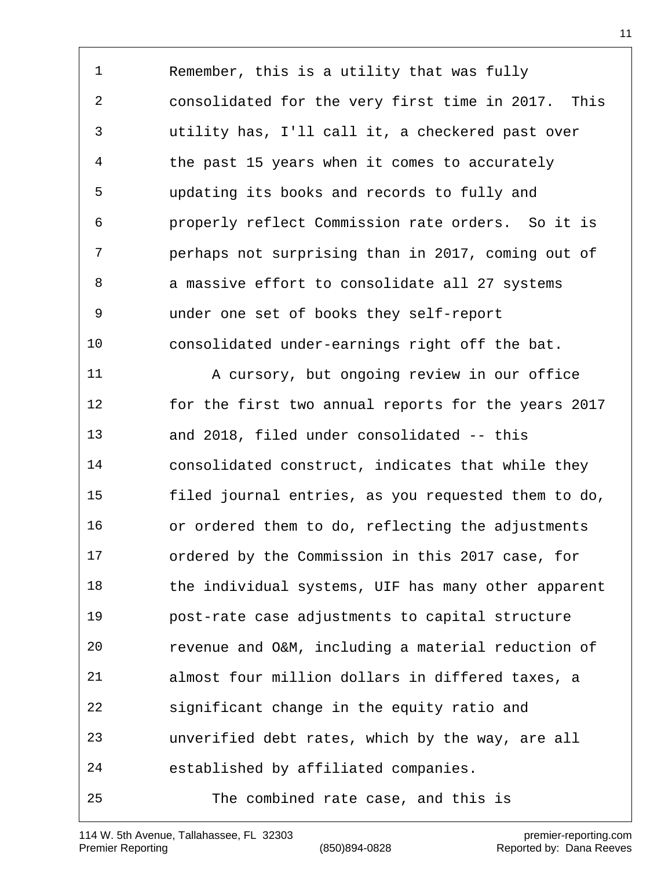Remember, this is a utility that was fully consolidated for the very first time in 2017. This utility has, I'll call it, a checkered past over the past 15 years when it comes to accurately updating its books and records to fully and properly reflect Commission rate orders. So it is perhaps not surprising than in 2017, coming out of 8 a massive effort to consolidate all 27 systems under one set of books they self-report consolidated under-earnings right off the bat. 11 A cursory, but ongoing review in our office for the first two annual reports for the years 2017 and 2018, filed under consolidated -- this consolidated construct, indicates that while they filed journal entries, as you requested them to do, or ordered them to do, reflecting the adjustments ordered by the Commission in this 2017 case, for 18 the individual systems, UIF has many other apparent post-rate case adjustments to capital structure revenue and O&M, including a material reduction of almost four million dollars in differed taxes, a significant change in the equity ratio and unverified debt rates, which by the way, are all established by affiliated companies. The combined rate case, and this is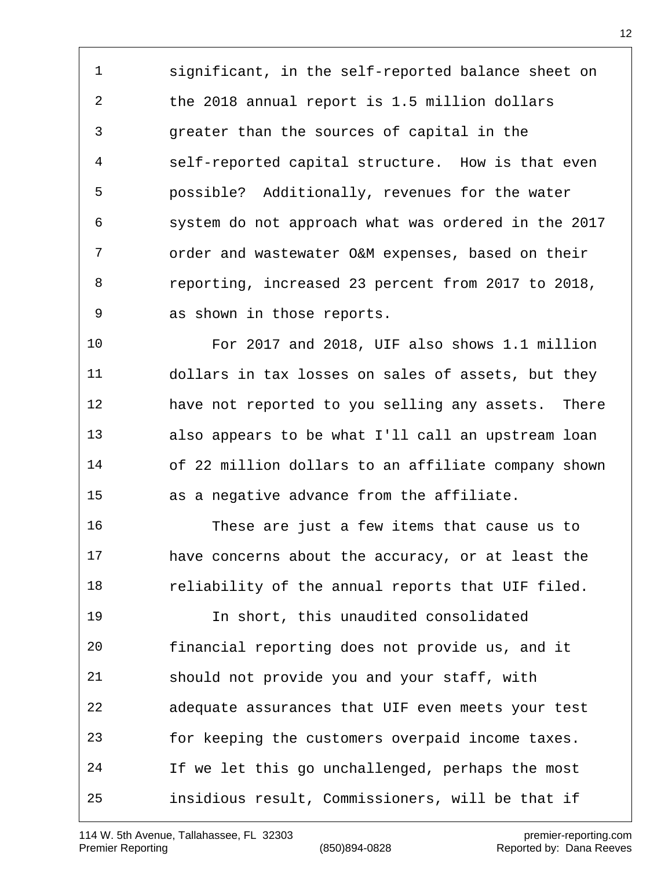significant, in the self-reported balance sheet on the 2018 annual report is 1.5 million dollars greater than the sources of capital in the self-reported capital structure. How is that even possible? Additionally, revenues for the water system do not approach what was ordered in the 2017 order and wastewater O&M expenses, based on their reporting, increased 23 percent from 2017 to 2018, as shown in those reports.

 For 2017 and 2018, UIF also shows 1.1 million dollars in tax losses on sales of assets, but they have not reported to you selling any assets. There also appears to be what I'll call an upstream loan of 22 million dollars to an affiliate company shown as a negative advance from the affiliate.

 These are just a few items that cause us to have concerns about the accuracy, or at least the 18 reliability of the annual reports that UIF filed.

 In short, this unaudited consolidated financial reporting does not provide us, and it should not provide you and your staff, with adequate assurances that UIF even meets your test for keeping the customers overpaid income taxes. If we let this go unchallenged, perhaps the most insidious result, Commissioners, will be that if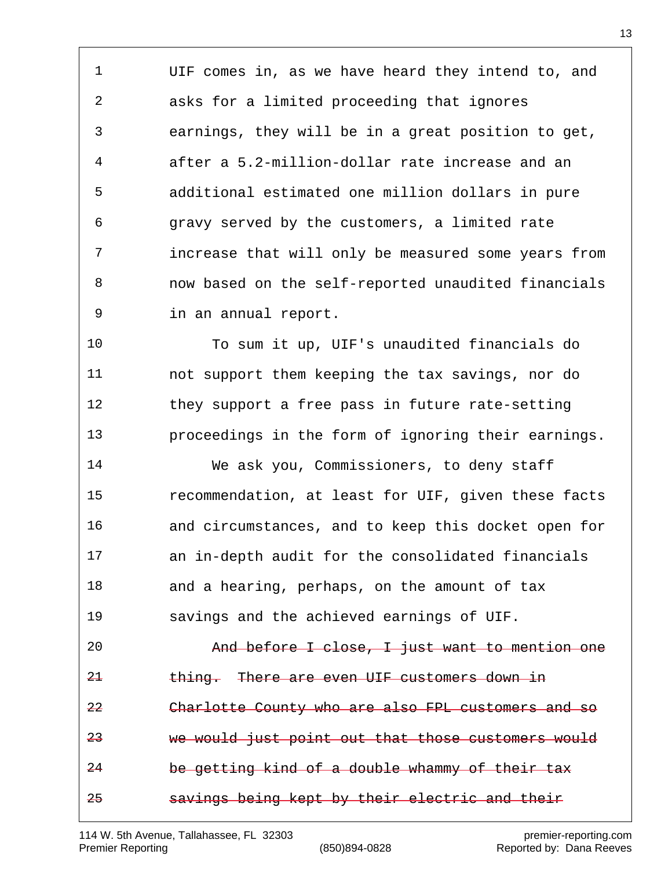UIF comes in, as we have heard they intend to, and asks for a limited proceeding that ignores earnings, they will be in a great position to get, after a 5.2-million-dollar rate increase and an additional estimated one million dollars in pure gravy served by the customers, a limited rate increase that will only be measured some years from now based on the self-reported unaudited financials in an annual report.

 To sum it up, UIF's unaudited financials do not support them keeping the tax savings, nor do they support a free pass in future rate-setting proceedings in the form of ignoring their earnings.

 We ask you, Commissioners, to deny staff recommendation, at least for UIF, given these facts and circumstances, and to keep this docket open for an in-depth audit for the consolidated financials 18 and a hearing, perhaps, on the amount of tax savings and the achieved earnings of UIF.

 And before I close, I just want to mention one thing. There are even UIF customers down in Charlotte County who are also FPL customers and so we would just point out that those customers would be getting kind of a double whammy of their tax savings being kept by their electric and their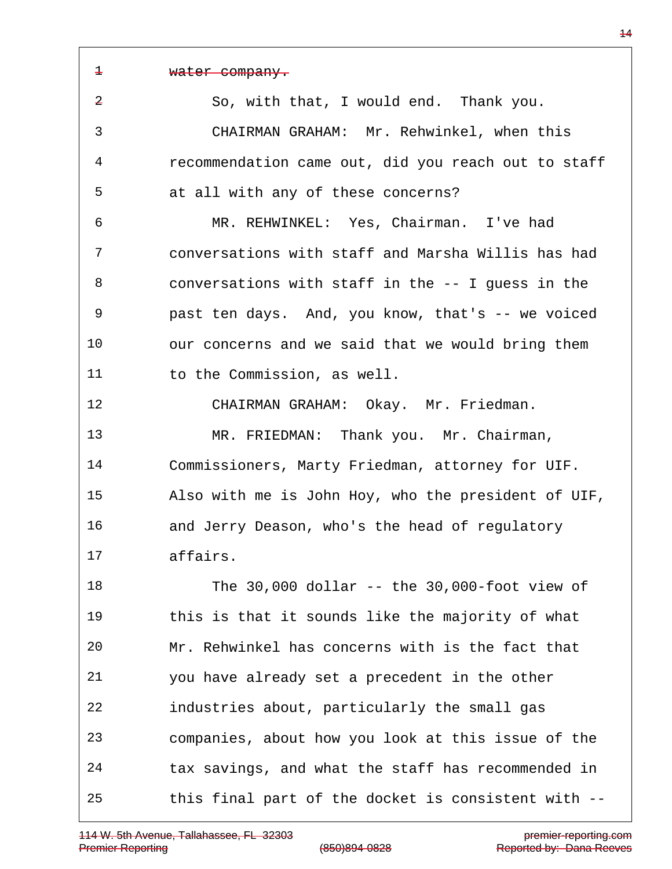water company. So, with that, I would end. Thank you. CHAIRMAN GRAHAM: Mr. Rehwinkel, when this recommendation came out, did you reach out to staff at all with any of these concerns? MR. REHWINKEL: Yes, Chairman. I've had conversations with staff and Marsha Willis has had conversations with staff in the -- I guess in the past ten days. And, you know, that's -- we voiced our concerns and we said that we would bring them 11 to the Commission, as well. CHAIRMAN GRAHAM: Okay. Mr. Friedman. MR. FRIEDMAN: Thank you. Mr. Chairman, Commissioners, Marty Friedman, attorney for UIF. Also with me is John Hoy, who the president of UIF, and Jerry Deason, who's the head of regulatory affairs. The 30,000 dollar -- the 30,000-foot view of this is that it sounds like the majority of what Mr. Rehwinkel has concerns with is the fact that you have already set a precedent in the other industries about, particularly the small gas companies, about how you look at this issue of the tax savings, and what the staff has recommended in this final part of the docket is consistent with --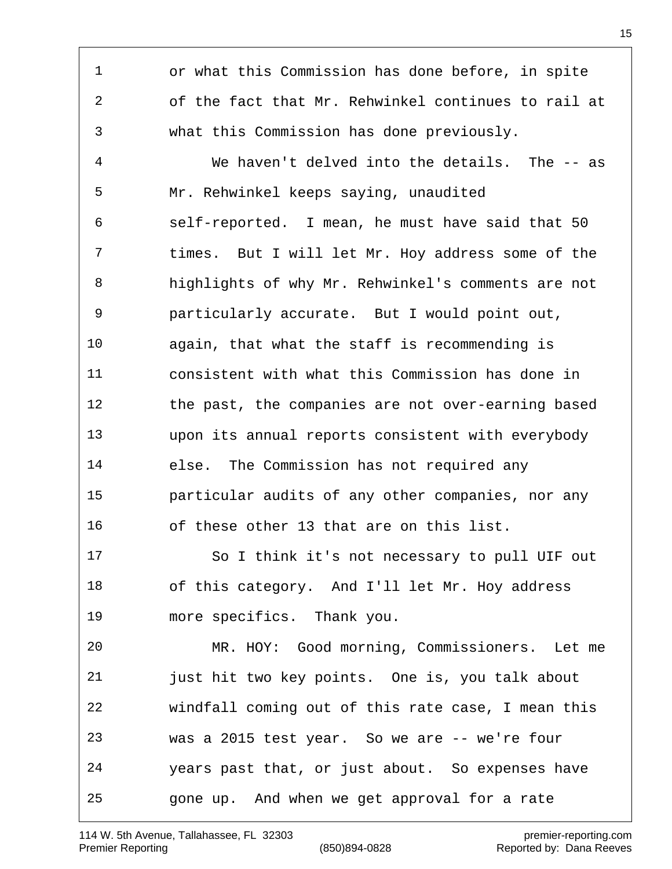or what this Commission has done before, in spite of the fact that Mr. Rehwinkel continues to rail at what this Commission has done previously. We haven't delved into the details. The -- as Mr. Rehwinkel keeps saying, unaudited self-reported. I mean, he must have said that 50 times. But I will let Mr. Hoy address some of the highlights of why Mr. Rehwinkel's comments are not particularly accurate. But I would point out, again, that what the staff is recommending is consistent with what this Commission has done in the past, the companies are not over-earning based upon its annual reports consistent with everybody else. The Commission has not required any particular audits of any other companies, nor any of these other 13 that are on this list. So I think it's not necessary to pull UIF out of this category. And I'll let Mr. Hoy address more specifics. Thank you. MR. HOY: Good morning, Commissioners. Let me just hit two key points. One is, you talk about windfall coming out of this rate case, I mean this was a 2015 test year. So we are -- we're four years past that, or just about. So expenses have gone up. And when we get approval for a rate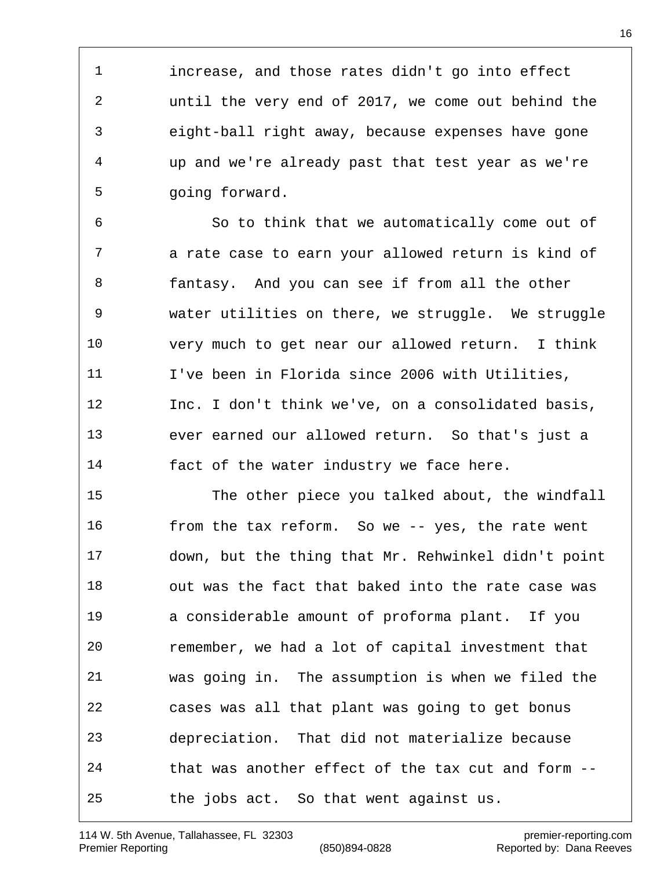increase, and those rates didn't go into effect until the very end of 2017, we come out behind the eight-ball right away, because expenses have gone up and we're already past that test year as we're going forward.

 So to think that we automatically come out of a rate case to earn your allowed return is kind of fantasy. And you can see if from all the other water utilities on there, we struggle. We struggle very much to get near our allowed return. I think I've been in Florida since 2006 with Utilities, Inc. I don't think we've, on a consolidated basis, ever earned our allowed return. So that's just a fact of the water industry we face here.

 The other piece you talked about, the windfall from the tax reform. So we -- yes, the rate went down, but the thing that Mr. Rehwinkel didn't point out was the fact that baked into the rate case was a considerable amount of proforma plant. If you remember, we had a lot of capital investment that was going in. The assumption is when we filed the cases was all that plant was going to get bonus depreciation. That did not materialize because that was another effect of the tax cut and form -- the jobs act. So that went against us.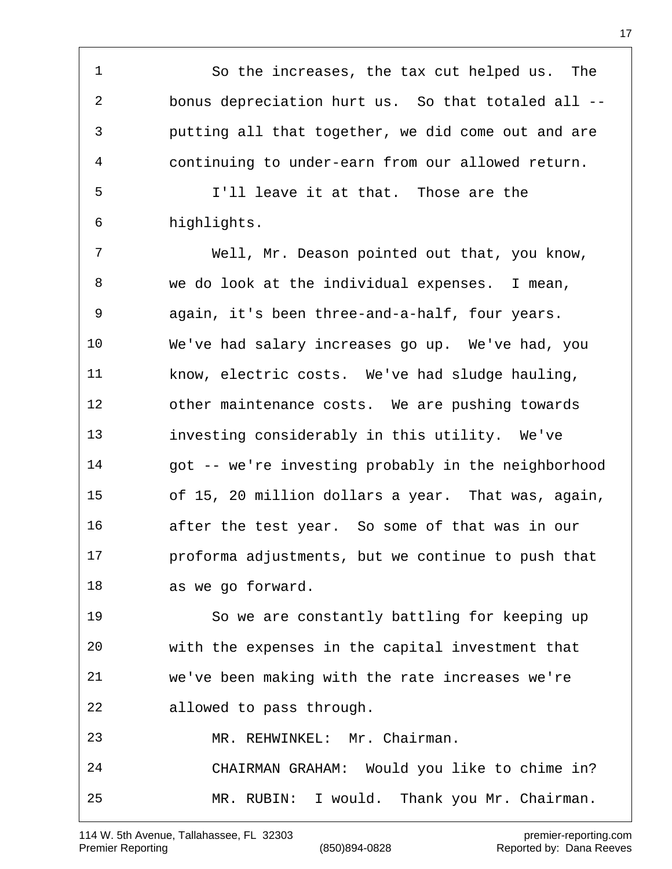So the increases, the tax cut helped us. The bonus depreciation hurt us. So that totaled all -- putting all that together, we did come out and are continuing to under-earn from our allowed return. I'll leave it at that. Those are the highlights. Well, Mr. Deason pointed out that, you know, we do look at the individual expenses. I mean, again, it's been three-and-a-half, four years. We've had salary increases go up. We've had, you know, electric costs. We've had sludge hauling, other maintenance costs. We are pushing towards investing considerably in this utility. We've got -- we're investing probably in the neighborhood of 15, 20 million dollars a year. That was, again, after the test year. So some of that was in our proforma adjustments, but we continue to push that as we go forward. So we are constantly battling for keeping up with the expenses in the capital investment that we've been making with the rate increases we're allowed to pass through. MR. REHWINKEL: Mr. Chairman. CHAIRMAN GRAHAM: Would you like to chime in?

114 W. 5th Avenue, Tallahassee, FL 32303 premier-reporting.com Premier Reporting The Contract (850)894-0828 Reported by: Dana Reeves

MR. RUBIN: I would. Thank you Mr. Chairman.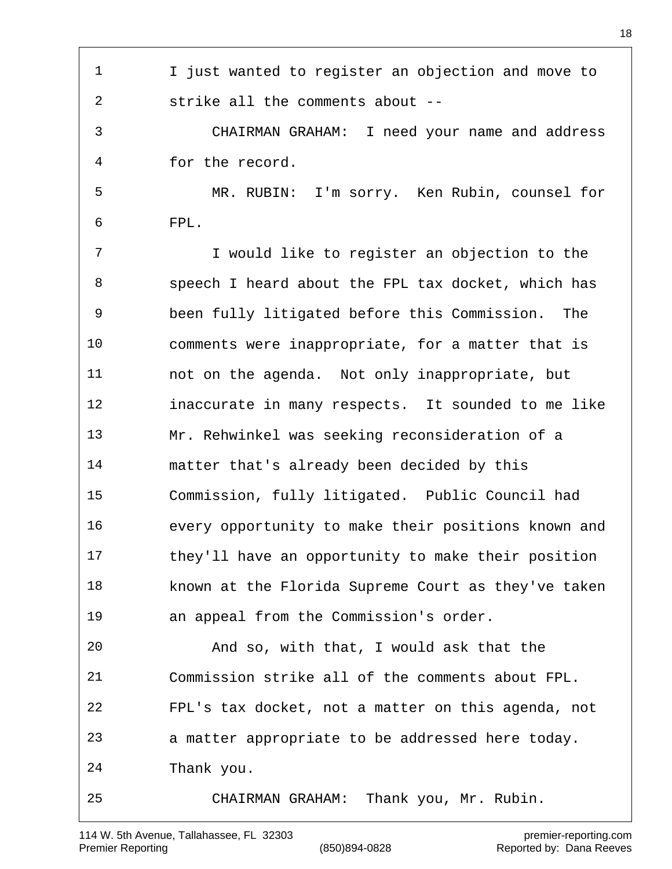| 1  | I just wanted to register an objection and move to  |
|----|-----------------------------------------------------|
| 2  | strike all the comments about --                    |
| 3  | CHAIRMAN GRAHAM: I need your name and address       |
| 4  | for the record.                                     |
| 5  | MR. RUBIN: I'm sorry. Ken Rubin, counsel for        |
| 6  | FPL.                                                |
| 7  | I would like to register an objection to the        |
| 8  | speech I heard about the FPL tax docket, which has  |
| 9  | been fully litigated before this Commission.<br>The |
| 10 | comments were inappropriate, for a matter that is   |
| 11 | not on the agenda. Not only inappropriate, but      |
| 12 | inaccurate in many respects. It sounded to me like  |
| 13 | Mr. Rehwinkel was seeking reconsideration of a      |
| 14 |                                                     |
|    | matter that's already been decided by this          |
| 15 | Commission, fully litigated. Public Council had     |
| 16 | every opportunity to make their positions known and |
| 17 | they'll have an opportunity to make their position  |
| 18 | known at the Florida Supreme Court as they've taken |
| 19 | an appeal from the Commission's order.              |
| 20 | And so, with that, I would ask that the             |
| 21 | Commission strike all of the comments about FPL.    |
| 22 | FPL's tax docket, not a matter on this agenda, not  |
| 23 | a matter appropriate to be addressed here today.    |
| 24 | Thank you.                                          |
| 25 | Thank you, Mr. Rubin.<br>CHAIRMAN GRAHAM:           |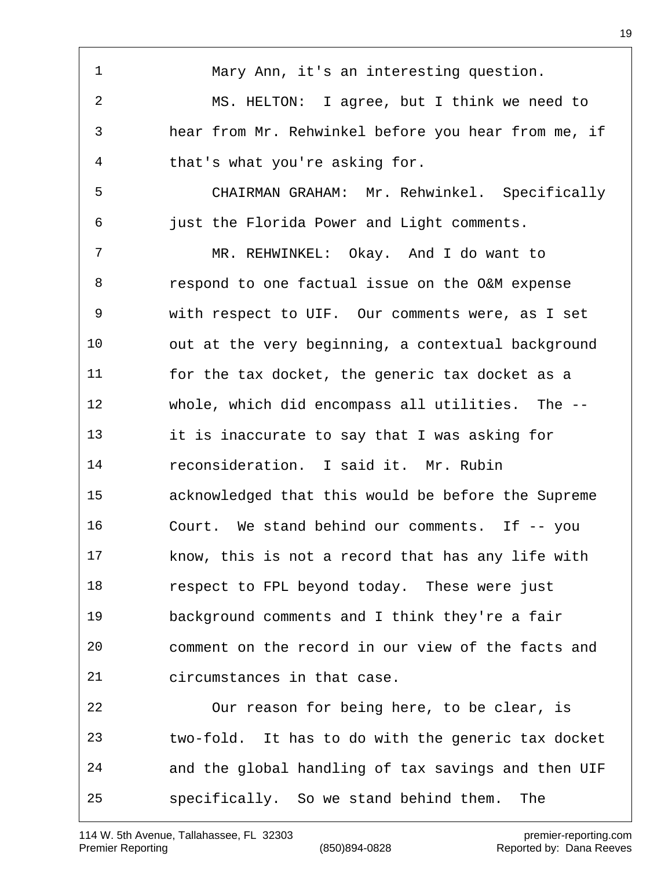Mary Ann, it's an interesting question. MS. HELTON: I agree, but I think we need to hear from Mr. Rehwinkel before you hear from me, if that's what you're asking for. CHAIRMAN GRAHAM: Mr. Rehwinkel. Specifically just the Florida Power and Light comments. MR. REHWINKEL: Okay. And I do want to respond to one factual issue on the O&M expense with respect to UIF. Our comments were, as I set out at the very beginning, a contextual background for the tax docket, the generic tax docket as a whole, which did encompass all utilities. The -- it is inaccurate to say that I was asking for reconsideration. I said it. Mr. Rubin acknowledged that this would be before the Supreme Court. We stand behind our comments. If -- you know, this is not a record that has any life with respect to FPL beyond today. These were just background comments and I think they're a fair comment on the record in our view of the facts and circumstances in that case. Our reason for being here, to be clear, is two-fold. It has to do with the generic tax docket and the global handling of tax savings and then UIF specifically. So we stand behind them. The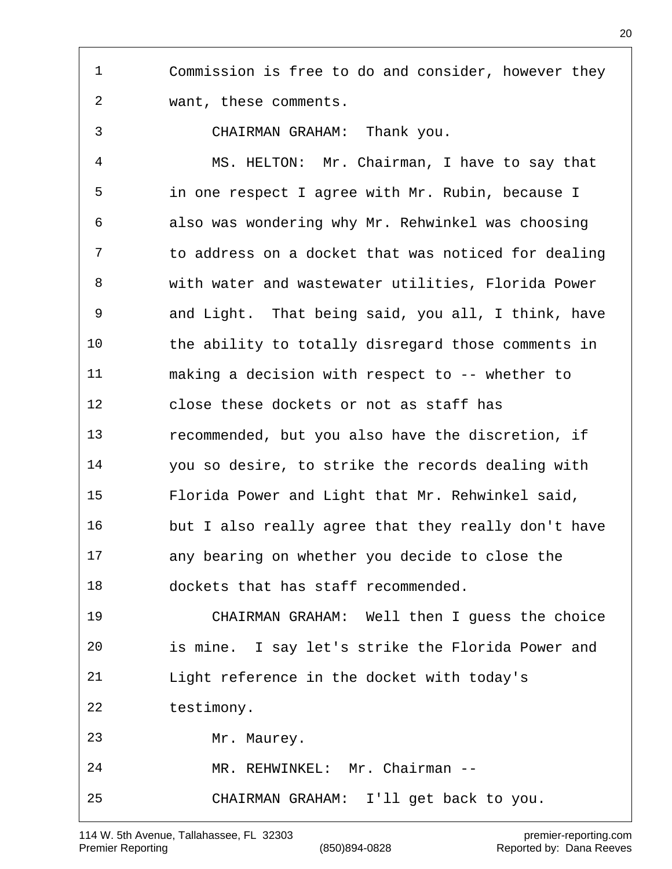Commission is free to do and consider, however they want, these comments.

CHAIRMAN GRAHAM: Thank you.

 MS. HELTON: Mr. Chairman, I have to say that in one respect I agree with Mr. Rubin, because I also was wondering why Mr. Rehwinkel was choosing to address on a docket that was noticed for dealing with water and wastewater utilities, Florida Power and Light. That being said, you all, I think, have the ability to totally disregard those comments in making a decision with respect to -- whether to close these dockets or not as staff has recommended, but you also have the discretion, if you so desire, to strike the records dealing with Florida Power and Light that Mr. Rehwinkel said, but I also really agree that they really don't have any bearing on whether you decide to close the dockets that has staff recommended. CHAIRMAN GRAHAM: Well then I guess the choice is mine. I say let's strike the Florida Power and Light reference in the docket with today's testimony. Mr. Maurey. MR. REHWINKEL: Mr. Chairman -- CHAIRMAN GRAHAM: I'll get back to you.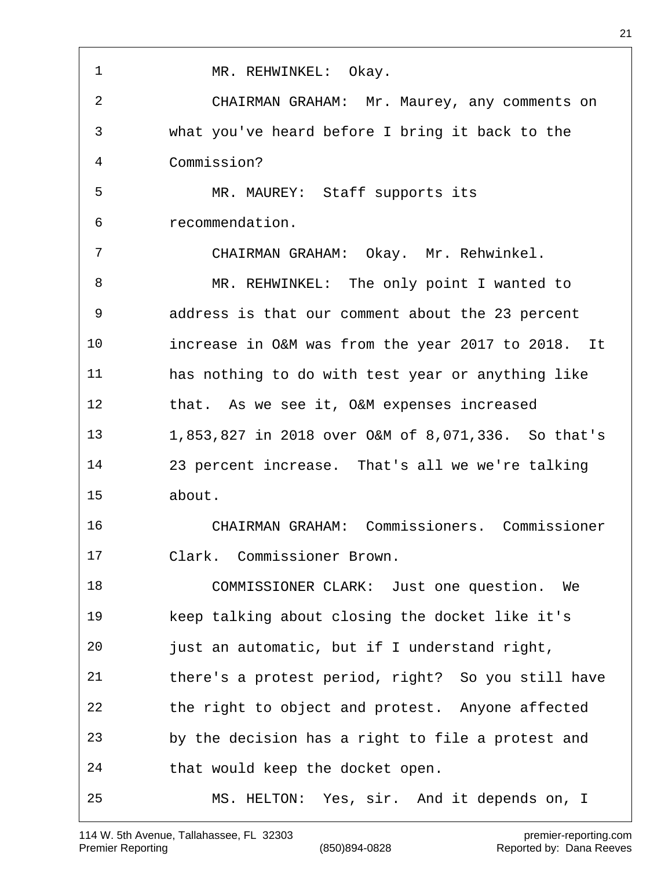| 1  | MR. REHWINKEL: Okay.                               |
|----|----------------------------------------------------|
| 2  | CHAIRMAN GRAHAM: Mr. Maurey, any comments on       |
| 3  | what you've heard before I bring it back to the    |
| 4  | Commission?                                        |
| 5  | MR. MAUREY: Staff supports its                     |
| 6  | recommendation.                                    |
| 7  | CHAIRMAN GRAHAM: Okay. Mr. Rehwinkel.              |
| 8  | MR. REHWINKEL: The only point I wanted to          |
| 9  | address is that our comment about the 23 percent   |
| 10 | increase in O&M was from the year 2017 to 2018. It |
| 11 | has nothing to do with test year or anything like  |
| 12 | that. As we see it, O&M expenses increased         |
| 13 | 1,853,827 in 2018 over O&M of 8,071,336. So that's |
| 14 | 23 percent increase. That's all we we're talking   |
| 15 | about.                                             |
| 16 | CHAIRMAN GRAHAM: Commissioners. Commissioner       |
| 17 | Clark. Commissioner Brown.                         |
| 18 | COMMISSIONER CLARK: Just one question. We          |
| 19 | keep talking about closing the docket like it's    |
| 20 | just an automatic, but if I understand right,      |
| 21 | there's a protest period, right? So you still have |
| 22 | the right to object and protest. Anyone affected   |
| 23 | by the decision has a right to file a protest and  |
| 24 | that would keep the docket open.                   |
| 25 | MS. HELTON: Yes, sir. And it depends on, I         |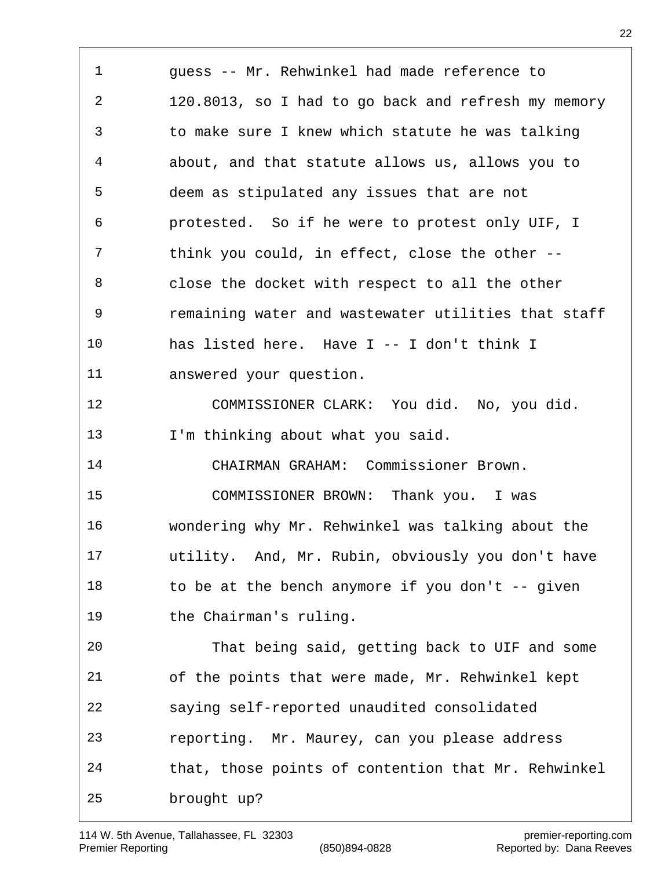guess -- Mr. Rehwinkel had made reference to 120.8013, so I had to go back and refresh my memory to make sure I knew which statute he was talking about, and that statute allows us, allows you to deem as stipulated any issues that are not protested. So if he were to protest only UIF, I think you could, in effect, close the other -- close the docket with respect to all the other remaining water and wastewater utilities that staff has listed here. Have I -- I don't think I answered your question. COMMISSIONER CLARK: You did. No, you did. 13 I'm thinking about what you said. CHAIRMAN GRAHAM: Commissioner Brown. COMMISSIONER BROWN: Thank you. I was wondering why Mr. Rehwinkel was talking about the utility. And, Mr. Rubin, obviously you don't have 18 to be at the bench anymore if you don't -- given the Chairman's ruling. That being said, getting back to UIF and some of the points that were made, Mr. Rehwinkel kept saying self-reported unaudited consolidated reporting. Mr. Maurey, can you please address that, those points of contention that Mr. Rehwinkel brought up?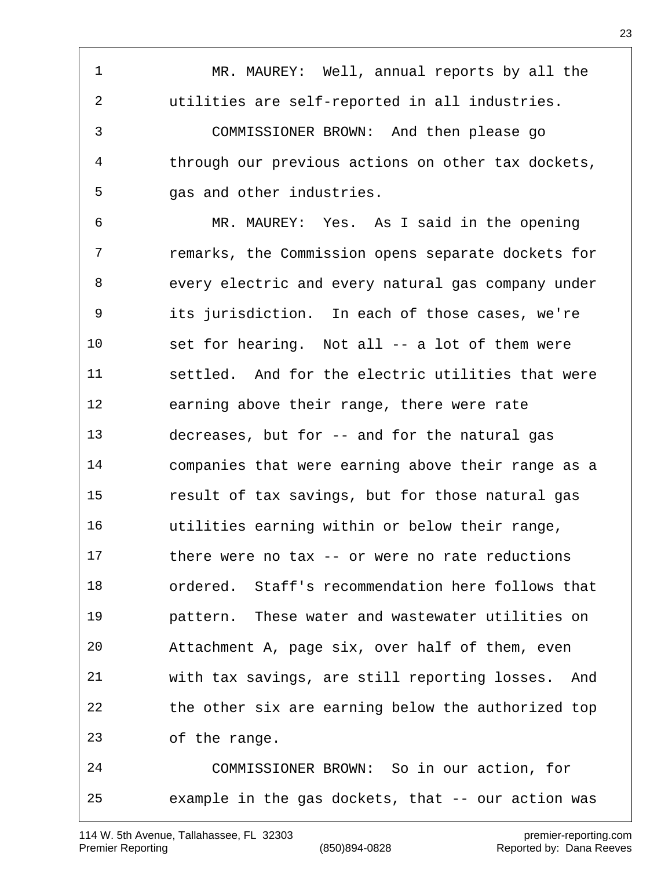MR. MAUREY: Well, annual reports by all the utilities are self-reported in all industries. COMMISSIONER BROWN: And then please go through our previous actions on other tax dockets, gas and other industries.

 MR. MAUREY: Yes. As I said in the opening remarks, the Commission opens separate dockets for every electric and every natural gas company under its jurisdiction. In each of those cases, we're set for hearing. Not all -- a lot of them were settled. And for the electric utilities that were earning above their range, there were rate decreases, but for -- and for the natural gas companies that were earning above their range as a result of tax savings, but for those natural gas utilities earning within or below their range, there were no tax -- or were no rate reductions ordered. Staff's recommendation here follows that pattern. These water and wastewater utilities on Attachment A, page six, over half of them, even with tax savings, are still reporting losses. And the other six are earning below the authorized top of the range.

 COMMISSIONER BROWN: So in our action, for example in the gas dockets, that -- our action was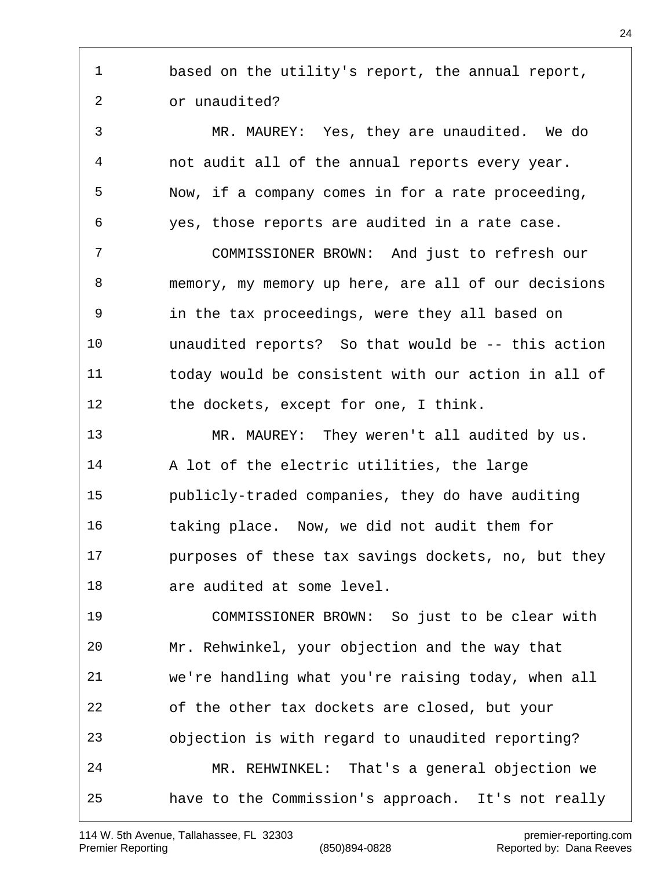based on the utility's report, the annual report, or unaudited? MR. MAUREY: Yes, they are unaudited. We do not audit all of the annual reports every year. Now, if a company comes in for a rate proceeding, yes, those reports are audited in a rate case. COMMISSIONER BROWN: And just to refresh our memory, my memory up here, are all of our decisions in the tax proceedings, were they all based on unaudited reports? So that would be -- this action today would be consistent with our action in all of the dockets, except for one, I think. MR. MAUREY: They weren't all audited by us. A lot of the electric utilities, the large publicly-traded companies, they do have auditing taking place. Now, we did not audit them for purposes of these tax savings dockets, no, but they are audited at some level. COMMISSIONER BROWN: So just to be clear with Mr. Rehwinkel, your objection and the way that we're handling what you're raising today, when all of the other tax dockets are closed, but your objection is with regard to unaudited reporting?

 MR. REHWINKEL: That's a general objection we have to the Commission's approach. It's not really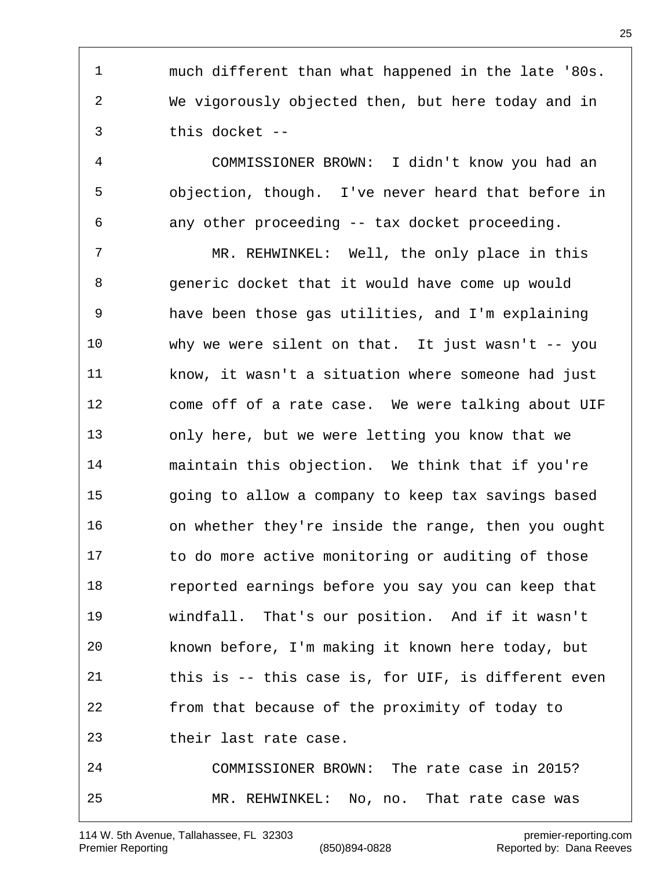much different than what happened in the late '80s. We vigorously objected then, but here today and in this docket --

 COMMISSIONER BROWN: I didn't know you had an objection, though. I've never heard that before in any other proceeding -- tax docket proceeding.

 MR. REHWINKEL: Well, the only place in this generic docket that it would have come up would have been those gas utilities, and I'm explaining why we were silent on that. It just wasn't -- you know, it wasn't a situation where someone had just come off of a rate case. We were talking about UIF only here, but we were letting you know that we maintain this objection. We think that if you're going to allow a company to keep tax savings based on whether they're inside the range, then you ought to do more active monitoring or auditing of those reported earnings before you say you can keep that windfall. That's our position. And if it wasn't known before, I'm making it known here today, but this is -- this case is, for UIF, is different even from that because of the proximity of today to their last rate case.

 COMMISSIONER BROWN: The rate case in 2015? MR. REHWINKEL: No, no. That rate case was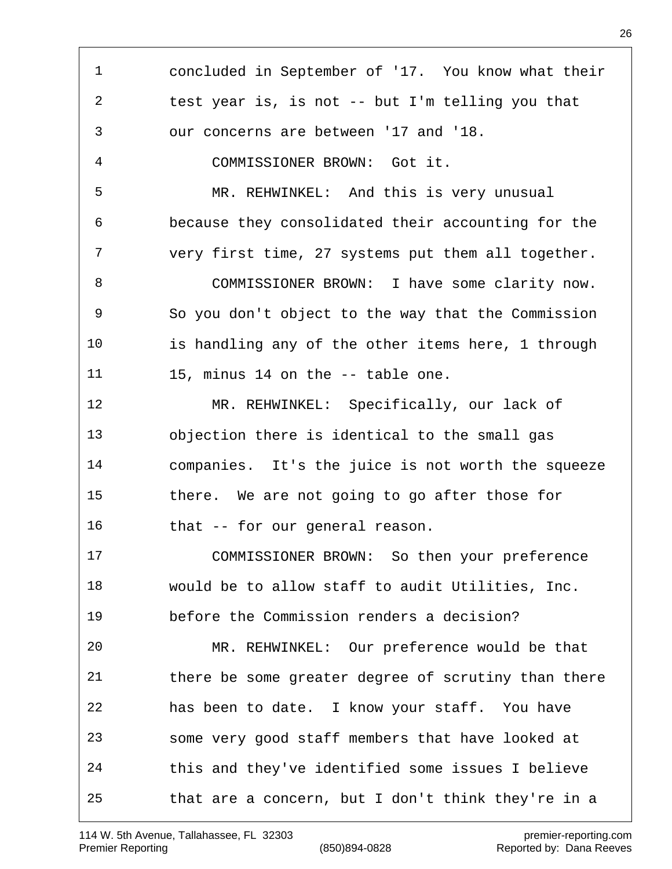concluded in September of '17. You know what their test year is, is not -- but I'm telling you that our concerns are between '17 and '18. COMMISSIONER BROWN: Got it. MR. REHWINKEL: And this is very unusual because they consolidated their accounting for the very first time, 27 systems put them all together. COMMISSIONER BROWN: I have some clarity now. So you don't object to the way that the Commission is handling any of the other items here, 1 through 11 15, minus 14 on the -- table one. MR. REHWINKEL: Specifically, our lack of objection there is identical to the small gas companies. It's the juice is not worth the squeeze there. We are not going to go after those for 16 that -- for our general reason. COMMISSIONER BROWN: So then your preference would be to allow staff to audit Utilities, Inc. before the Commission renders a decision? MR. REHWINKEL: Our preference would be that there be some greater degree of scrutiny than there has been to date. I know your staff. You have some very good staff members that have looked at this and they've identified some issues I believe that are a concern, but I don't think they're in a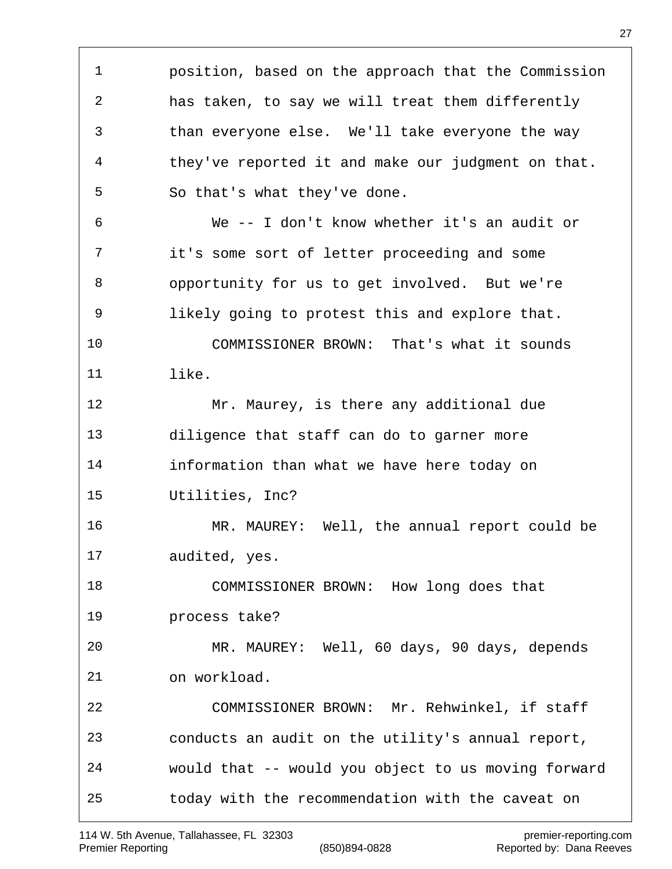position, based on the approach that the Commission has taken, to say we will treat them differently than everyone else. We'll take everyone the way they've reported it and make our judgment on that. So that's what they've done. We -- I don't know whether it's an audit or it's some sort of letter proceeding and some opportunity for us to get involved. But we're likely going to protest this and explore that. COMMISSIONER BROWN: That's what it sounds like. Mr. Maurey, is there any additional due diligence that staff can do to garner more information than what we have here today on Utilities, Inc? MR. MAUREY: Well, the annual report could be audited, yes. COMMISSIONER BROWN: How long does that process take? MR. MAUREY: Well, 60 days, 90 days, depends on workload. COMMISSIONER BROWN: Mr. Rehwinkel, if staff conducts an audit on the utility's annual report, would that -- would you object to us moving forward today with the recommendation with the caveat on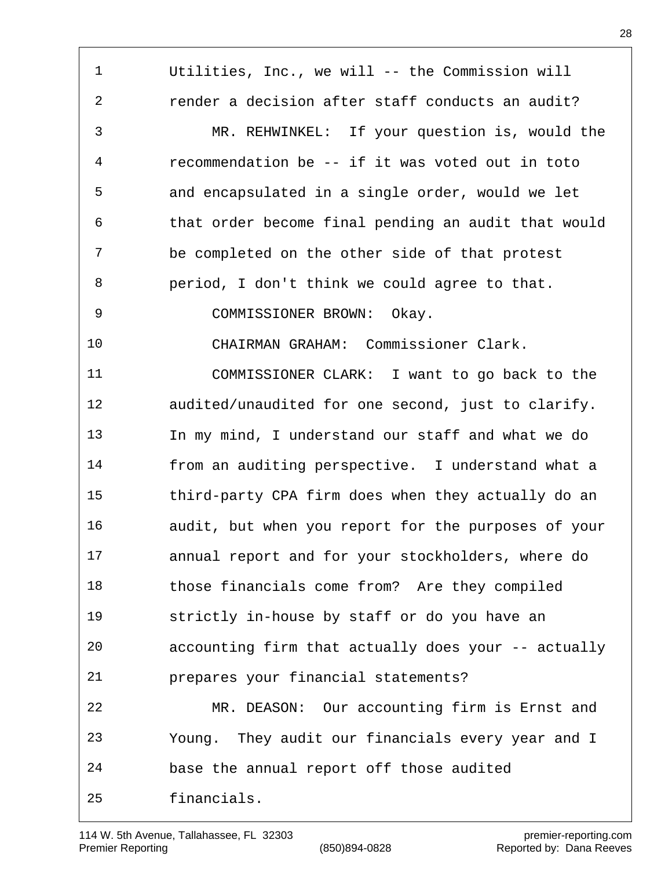Utilities, Inc., we will -- the Commission will render a decision after staff conducts an audit? MR. REHWINKEL: If your question is, would the recommendation be -- if it was voted out in toto and encapsulated in a single order, would we let that order become final pending an audit that would be completed on the other side of that protest period, I don't think we could agree to that. COMMISSIONER BROWN: Okay. CHAIRMAN GRAHAM: Commissioner Clark. COMMISSIONER CLARK: I want to go back to the audited/unaudited for one second, just to clarify. In my mind, I understand our staff and what we do from an auditing perspective. I understand what a third-party CPA firm does when they actually do an audit, but when you report for the purposes of your annual report and for your stockholders, where do those financials come from? Are they compiled strictly in-house by staff or do you have an accounting firm that actually does your -- actually prepares your financial statements? MR. DEASON: Our accounting firm is Ernst and Young. They audit our financials every year and I base the annual report off those audited financials.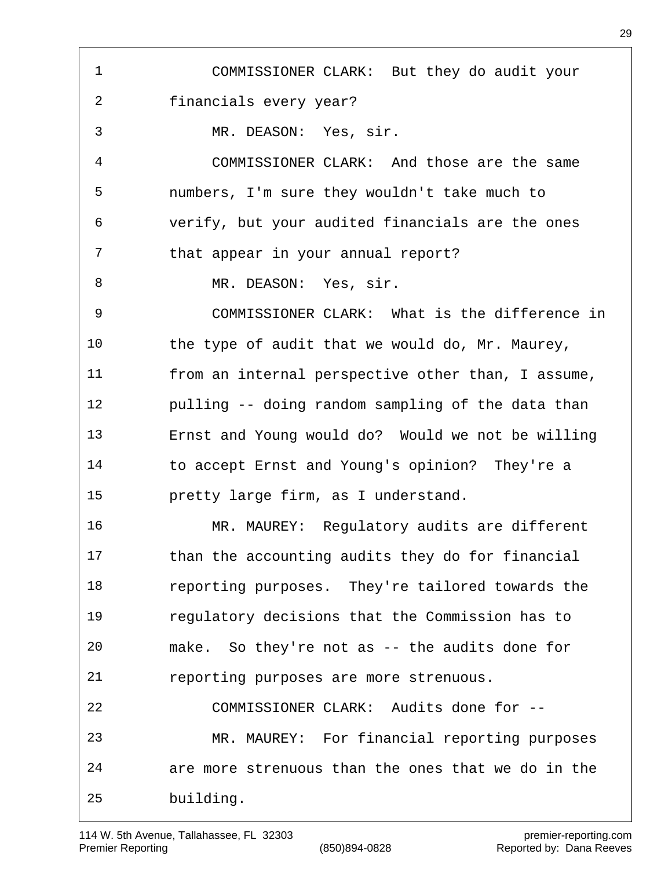COMMISSIONER CLARK: But they do audit your financials every year? MR. DEASON: Yes, sir. COMMISSIONER CLARK: And those are the same numbers, I'm sure they wouldn't take much to verify, but your audited financials are the ones that appear in your annual report? 8 MR. DEASON: Yes, sir. COMMISSIONER CLARK: What is the difference in the type of audit that we would do, Mr. Maurey, from an internal perspective other than, I assume, pulling -- doing random sampling of the data than Ernst and Young would do? Would we not be willing to accept Ernst and Young's opinion? They're a pretty large firm, as I understand. MR. MAUREY: Regulatory audits are different than the accounting audits they do for financial reporting purposes. They're tailored towards the regulatory decisions that the Commission has to make. So they're not as -- the audits done for reporting purposes are more strenuous. COMMISSIONER CLARK: Audits done for -- MR. MAUREY: For financial reporting purposes are more strenuous than the ones that we do in the building.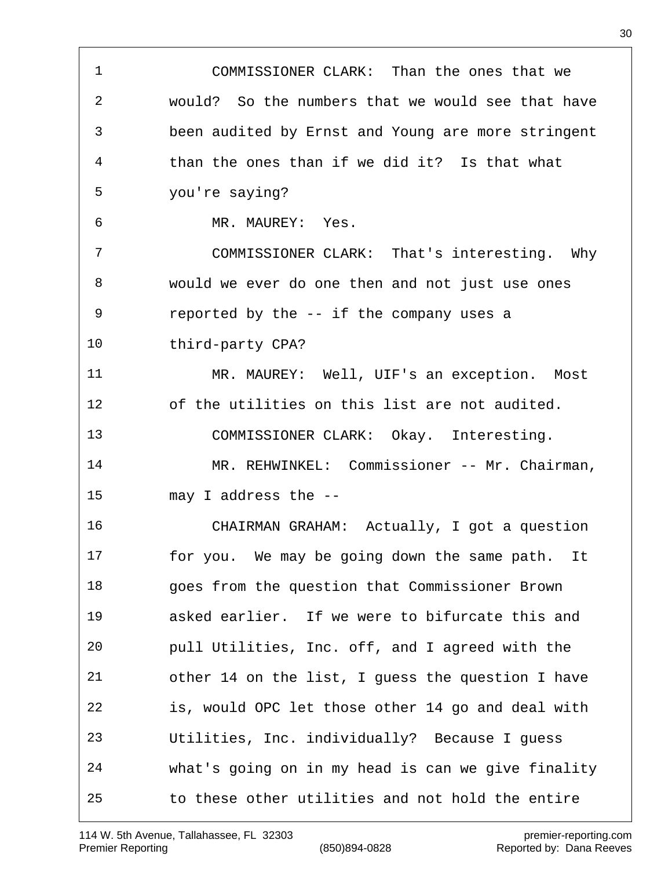COMMISSIONER CLARK: Than the ones that we would? So the numbers that we would see that have been audited by Ernst and Young are more stringent than the ones than if we did it? Is that what you're saying? MR. MAUREY: Yes. COMMISSIONER CLARK: That's interesting. Why would we ever do one then and not just use ones reported by the -- if the company uses a third-party CPA? MR. MAUREY: Well, UIF's an exception. Most of the utilities on this list are not audited. COMMISSIONER CLARK: Okay. Interesting. MR. REHWINKEL: Commissioner -- Mr. Chairman, may I address the -- CHAIRMAN GRAHAM: Actually, I got a question for you. We may be going down the same path. It goes from the question that Commissioner Brown asked earlier. If we were to bifurcate this and pull Utilities, Inc. off, and I agreed with the other 14 on the list, I guess the question I have is, would OPC let those other 14 go and deal with Utilities, Inc. individually? Because I guess what's going on in my head is can we give finality to these other utilities and not hold the entire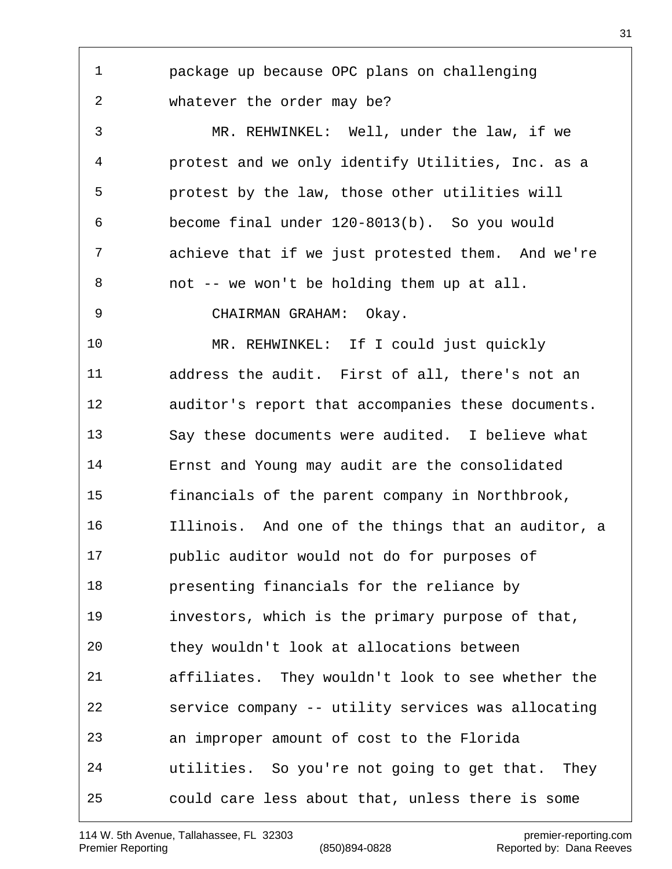package up because OPC plans on challenging whatever the order may be?

 MR. REHWINKEL: Well, under the law, if we protest and we only identify Utilities, Inc. as a protest by the law, those other utilities will become final under 120-8013(b). So you would achieve that if we just protested them. And we're not -- we won't be holding them up at all.

CHAIRMAN GRAHAM: Okay.

 MR. REHWINKEL: If I could just quickly address the audit. First of all, there's not an auditor's report that accompanies these documents. Say these documents were audited. I believe what Ernst and Young may audit are the consolidated financials of the parent company in Northbrook, Illinois. And one of the things that an auditor, a public auditor would not do for purposes of presenting financials for the reliance by investors, which is the primary purpose of that, they wouldn't look at allocations between affiliates. They wouldn't look to see whether the service company -- utility services was allocating an improper amount of cost to the Florida utilities. So you're not going to get that. They could care less about that, unless there is some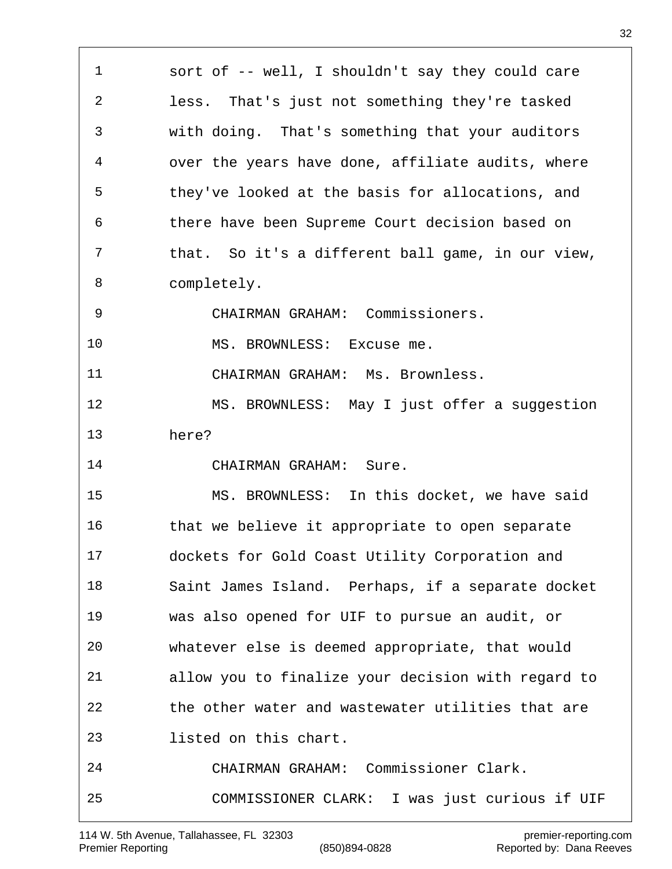sort of -- well, I shouldn't say they could care less. That's just not something they're tasked with doing. That's something that your auditors over the years have done, affiliate audits, where they've looked at the basis for allocations, and there have been Supreme Court decision based on that. So it's a different ball game, in our view, completely. CHAIRMAN GRAHAM: Commissioners. MS. BROWNLESS: Excuse me. CHAIRMAN GRAHAM: Ms. Brownless. MS. BROWNLESS: May I just offer a suggestion here? CHAIRMAN GRAHAM: Sure. MS. BROWNLESS: In this docket, we have said that we believe it appropriate to open separate dockets for Gold Coast Utility Corporation and Saint James Island. Perhaps, if a separate docket was also opened for UIF to pursue an audit, or whatever else is deemed appropriate, that would allow you to finalize your decision with regard to the other water and wastewater utilities that are listed on this chart. CHAIRMAN GRAHAM: Commissioner Clark. COMMISSIONER CLARK: I was just curious if UIF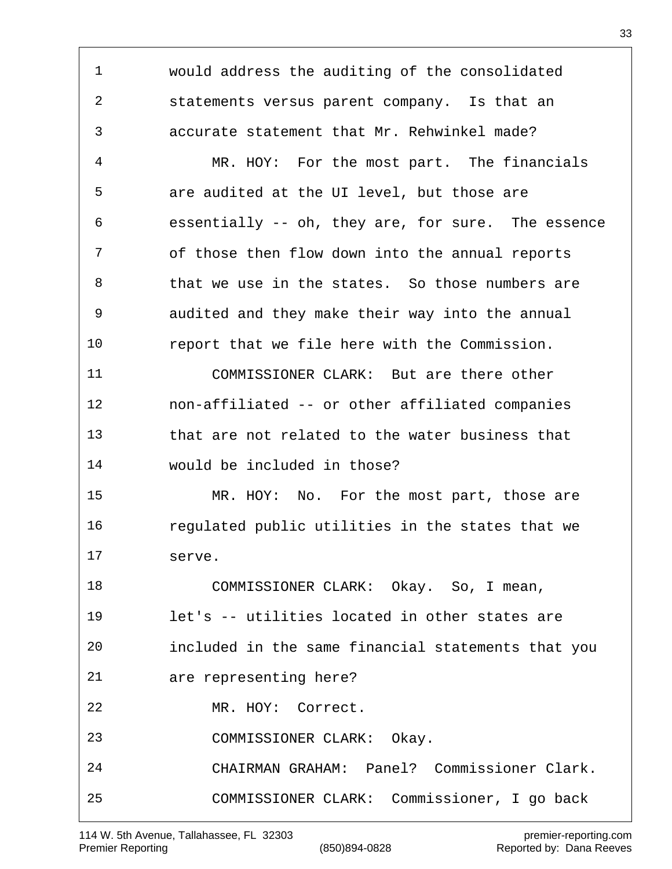would address the auditing of the consolidated statements versus parent company. Is that an accurate statement that Mr. Rehwinkel made? MR. HOY: For the most part. The financials are audited at the UI level, but those are essentially -- oh, they are, for sure. The essence of those then flow down into the annual reports 8 that we use in the states. So those numbers are audited and they make their way into the annual report that we file here with the Commission. COMMISSIONER CLARK: But are there other non-affiliated -- or other affiliated companies that are not related to the water business that would be included in those? MR. HOY: No. For the most part, those are regulated public utilities in the states that we serve. COMMISSIONER CLARK: Okay. So, I mean, let's -- utilities located in other states are included in the same financial statements that you are representing here? MR. HOY: Correct. COMMISSIONER CLARK: Okay. CHAIRMAN GRAHAM: Panel? Commissioner Clark. COMMISSIONER CLARK: Commissioner, I go back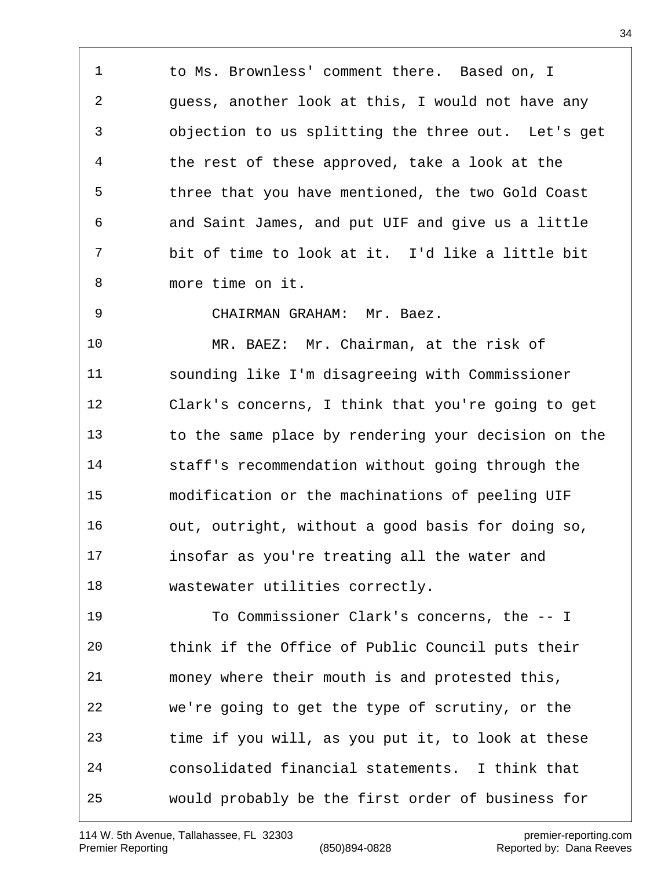to Ms. Brownless' comment there. Based on, I guess, another look at this, I would not have any objection to us splitting the three out. Let's get the rest of these approved, take a look at the three that you have mentioned, the two Gold Coast and Saint James, and put UIF and give us a little bit of time to look at it. I'd like a little bit more time on it.

CHAIRMAN GRAHAM: Mr. Baez.

 MR. BAEZ: Mr. Chairman, at the risk of sounding like I'm disagreeing with Commissioner Clark's concerns, I think that you're going to get to the same place by rendering your decision on the staff's recommendation without going through the modification or the machinations of peeling UIF out, outright, without a good basis for doing so, insofar as you're treating all the water and wastewater utilities correctly.

 To Commissioner Clark's concerns, the -- I think if the Office of Public Council puts their money where their mouth is and protested this, we're going to get the type of scrutiny, or the time if you will, as you put it, to look at these consolidated financial statements. I think that would probably be the first order of business for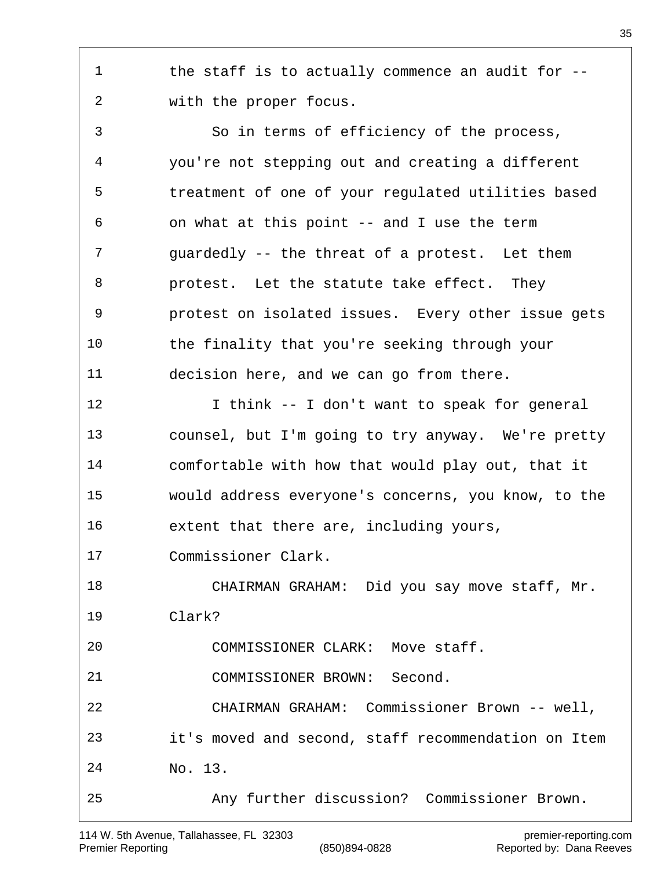1 the staff is to actually commence an audit for --with the proper focus.

 So in terms of efficiency of the process, you're not stepping out and creating a different treatment of one of your regulated utilities based on what at this point -- and I use the term guardedly -- the threat of a protest. Let them protest. Let the statute take effect. They protest on isolated issues. Every other issue gets the finality that you're seeking through your decision here, and we can go from there. I think -- I don't want to speak for general counsel, but I'm going to try anyway. We're pretty comfortable with how that would play out, that it would address everyone's concerns, you know, to the extent that there are, including yours, Commissioner Clark. CHAIRMAN GRAHAM: Did you say move staff, Mr. Clark? COMMISSIONER CLARK: Move staff. COMMISSIONER BROWN: Second. CHAIRMAN GRAHAM: Commissioner Brown -- well, it's moved and second, staff recommendation on Item No. 13. Any further discussion? Commissioner Brown.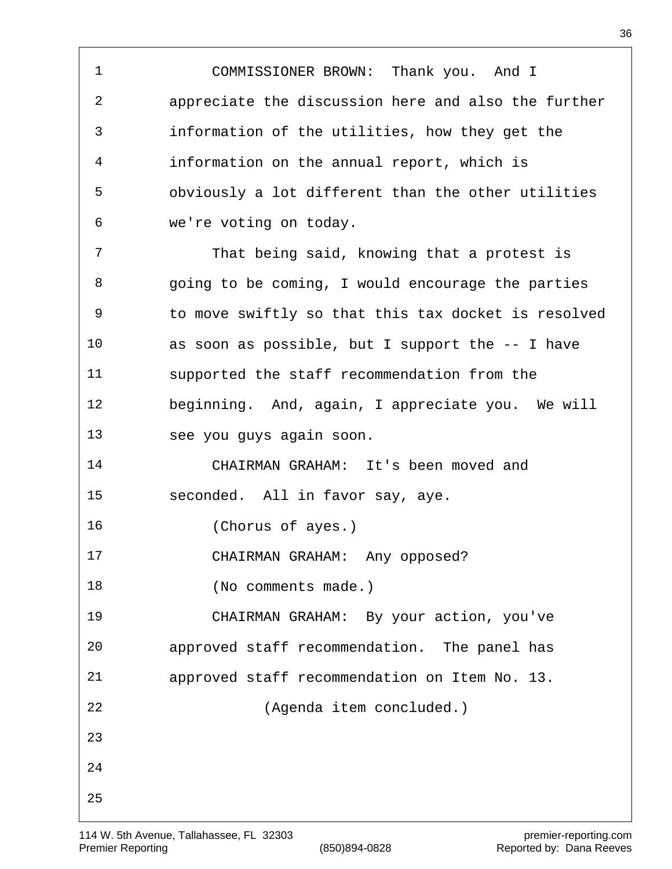COMMISSIONER BROWN: Thank you. And I appreciate the discussion here and also the further information of the utilities, how they get the information on the annual report, which is obviously a lot different than the other utilities we're voting on today. That being said, knowing that a protest is going to be coming, I would encourage the parties to move swiftly so that this tax docket is resolved as soon as possible, but I support the -- I have supported the staff recommendation from the beginning. And, again, I appreciate you. We will see you guys again soon. CHAIRMAN GRAHAM: It's been moved and seconded. All in favor say, aye. (Chorus of ayes.) CHAIRMAN GRAHAM: Any opposed? 18 (No comments made.) CHAIRMAN GRAHAM: By your action, you've approved staff recommendation. The panel has approved staff recommendation on Item No. 13. (Agenda item concluded.)